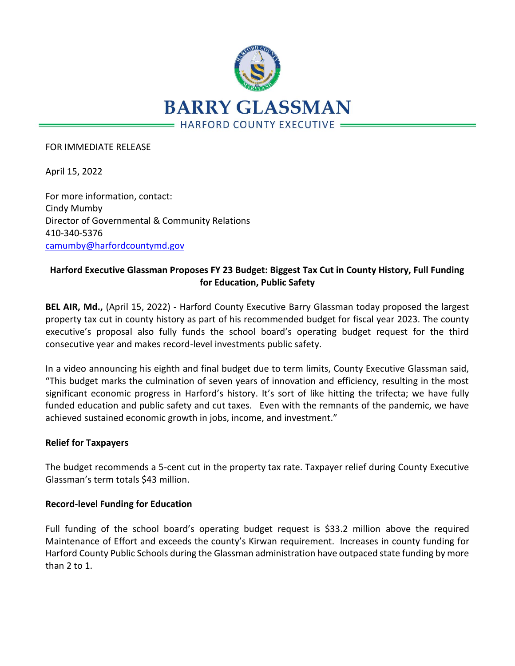

#### FOR IMMEDIATE RELEASE

April 15, 2022

For more information, contact: Cindy Mumby Director of Governmental & Community Relations 410-340-5376 [camumby@harfordcountymd.gov](mailto:camumby@harfordcountymd.gov)

# **Harford Executive Glassman Proposes FY 23 Budget: Biggest Tax Cut in County History, Full Funding for Education, Public Safety**

**BEL AIR, Md.,** (April 15, 2022) - Harford County Executive Barry Glassman today proposed the largest property tax cut in county history as part of his recommended budget for fiscal year 2023. The county executive's proposal also fully funds the school board's operating budget request for the third consecutive year and makes record-level investments public safety.

In a video announcing his eighth and final budget due to term limits, County Executive Glassman said, "This budget marks the culmination of seven years of innovation and efficiency, resulting in the most significant economic progress in Harford's history. It's sort of like hitting the trifecta; we have fully funded education and public safety and cut taxes. Even with the remnants of the pandemic, we have achieved sustained economic growth in jobs, income, and investment."

### **Relief for Taxpayers**

The budget recommends a 5-cent cut in the property tax rate. Taxpayer relief during County Executive Glassman's term totals \$43 million.

### **Record-level Funding for Education**

Full funding of the school board's operating budget request is \$33.2 million above the required Maintenance of Effort and exceeds the county's Kirwan requirement. Increases in county funding for Harford County Public Schools during the Glassman administration have outpaced state funding by more than 2 to 1.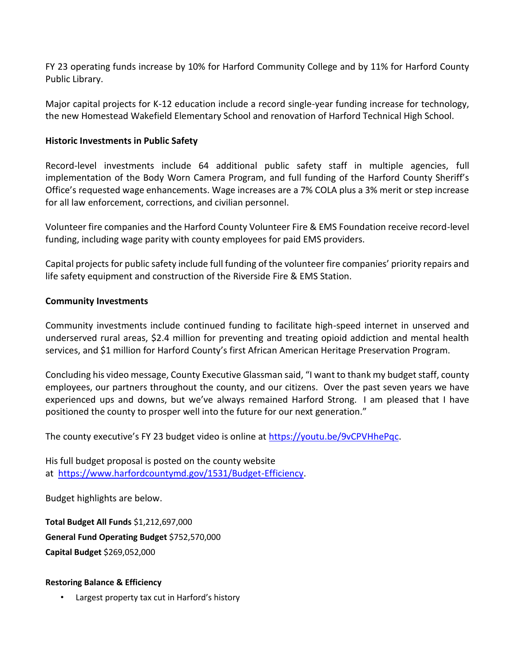FY 23 operating funds increase by 10% for Harford Community College and by 11% for Harford County Public Library.

Major capital projects for K-12 education include a record single-year funding increase for technology, the new Homestead Wakefield Elementary School and renovation of Harford Technical High School.

## **Historic Investments in Public Safety**

Record-level investments include 64 additional public safety staff in multiple agencies, full implementation of the Body Worn Camera Program, and full funding of the Harford County Sheriff's Office's requested wage enhancements. Wage increases are a 7% COLA plus a 3% merit or step increase for all law enforcement, corrections, and civilian personnel.

Volunteer fire companies and the Harford County Volunteer Fire & EMS Foundation receive record-level funding, including wage parity with county employees for paid EMS providers.

Capital projects for public safety include full funding of the volunteer fire companies' priority repairs and life safety equipment and construction of the Riverside Fire & EMS Station.

### **Community Investments**

Community investments include continued funding to facilitate high-speed internet in unserved and underserved rural areas, \$2.4 million for preventing and treating opioid addiction and mental health services, and \$1 million for Harford County's first African American Heritage Preservation Program.

Concluding his video message, County Executive Glassman said, "I want to thank my budget staff, county employees, our partners throughout the county, and our citizens. Over the past seven years we have experienced ups and downs, but we've always remained Harford Strong. I am pleased that I have positioned the county to prosper well into the future for our next generation."

The county executive's FY 23 budget video is online at [https://youtu.be/9vCPVHhePqc.](https://nam12.safelinks.protection.outlook.com/?url=https%3A%2F%2Fyoutu.be%2F9vCPVHhePqc&data=04%7C01%7Ckblowery%40harfordcountymd.gov%7Ca1f4c72155d849ba4d4508da1f0272f5%7C4235188d82284164a04d76ccc8339f8f%7C0%7C0%7C637856392666383416%7CUnknown%7CTWFpbGZsb3d8eyJWIjoiMC4wLjAwMDAiLCJQIjoiV2luMzIiLCJBTiI6Ik1haWwiLCJXVCI6Mn0%3D%7C3000&sdata=AeJvL6%2BHXntjwuHlB%2BE%2FkyyalJMlKkcyOH%2FiE4LR6WM%3D&reserved=0)

His full budget proposal is posted on the county website at [https://www.harfordcountymd.gov/1531/Budget-Efficiency.](https://nam12.safelinks.protection.outlook.com/?url=https%3A%2F%2Fwww.harfordcountymd.gov%2F1531%2FBudget-Efficiency&data=04%7C01%7Ckblowery%40harfordcountymd.gov%7Ca1f4c72155d849ba4d4508da1f0272f5%7C4235188d82284164a04d76ccc8339f8f%7C0%7C0%7C637856392666383416%7CUnknown%7CTWFpbGZsb3d8eyJWIjoiMC4wLjAwMDAiLCJQIjoiV2luMzIiLCJBTiI6Ik1haWwiLCJXVCI6Mn0%3D%7C3000&sdata=BTyN5ELtFEmyziHKVuT0VaV6sgvy6rGW5Z3H1jD%2FJao%3D&reserved=0)

Budget highlights are below.

**Total Budget All Funds** \$1,212,697,000 **General Fund Operating Budget** \$752,570,000 **Capital Budget** \$269,052,000

### **Restoring Balance & Efficiency**

Largest property tax cut in Harford's history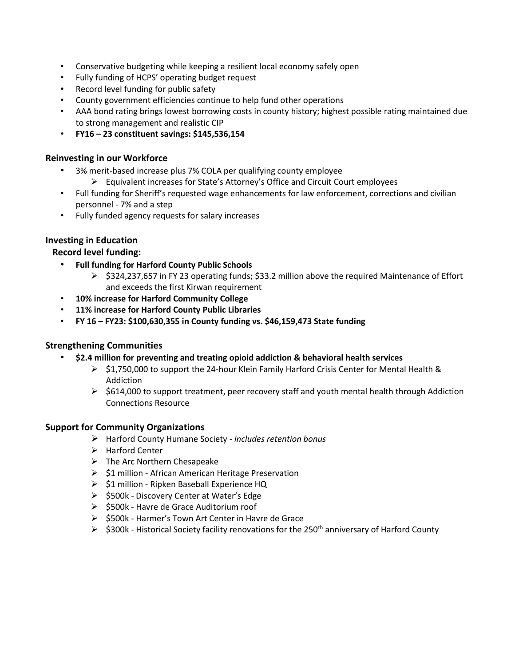- Conservative budgeting while keeping a resilient local economy safely open
- Fully funding of HCPS' operating budget request
- Record level funding for public safety
- County government efficiencies continue to help fund other operations
- AAA bond rating brings lowest borrowing costs in county history; highest possible rating maintained due to strong management and realistic CIP
- **FY16 – 23 constituent savings: \$145,536,154**

#### **Reinvesting in our Workforce**

- 3% merit-based increase plus 7% COLA per qualifying county employee
	- ➢ Equivalent increases for State's Attorney's Office and Circuit Court employees
- Full funding for Sheriff's requested wage enhancements for law enforcement, corrections and civilian personnel - 7% and a step
- Fully funded agency requests for salary increases

### **Investing in Education**

### **Record level funding:**

- **Full funding for Harford County Public Schools**
	- $\triangleright$  \$324,237,657 in FY 23 operating funds; \$33.2 million above the required Maintenance of Effort and exceeds the first Kirwan requirement
- **10% increase for Harford Community College**
- **11% increase for Harford County Public Libraries**
- **FY 16 – FY23: \$100,630,355 in County funding vs. \$46,159,473 State funding**

#### **Strengthening Communities**

- **\$2.4 million for preventing and treating opioid addiction & behavioral health services**
	- ➢ \$1,750,000 to support the 24-hour Klein Family Harford Crisis Center for Mental Health & Addiction
	- $\triangleright$  \$614,000 to support treatment, peer recovery staff and youth mental health through Addiction Connections Resource

#### **Support for Community Organizations**

- ➢ Harford County Humane Society *includes retention bonus*
- ➢ Harford Center
- $\triangleright$  The Arc Northern Chesapeake
- ➢ \$1 million African American Heritage Preservation
- ➢ \$1 million Ripken Baseball Experience HQ
- ➢ \$500k Discovery Center at Water's Edge
- ➢ \$500k Havre de Grace Auditorium roof
- ➢ \$500k Harmer's Town Art Center in Havre de Grace
- $\triangleright$  \$300k Historical Society facility renovations for the 250<sup>th</sup> anniversary of Harford County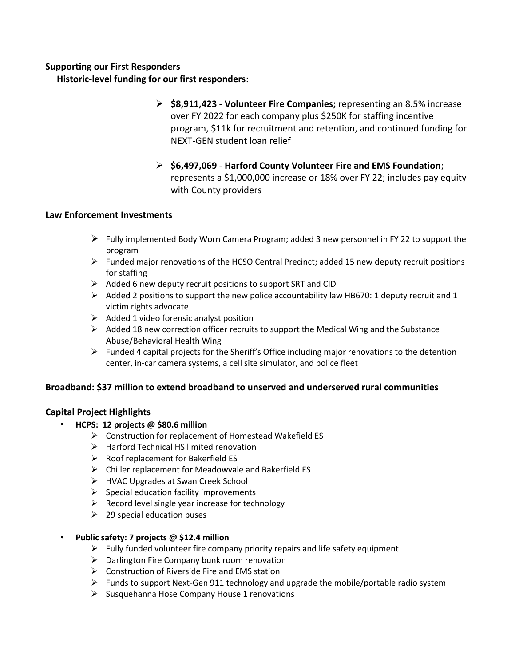# **Supporting our First Responders**

 **Historic-level funding for our first responders**:

- ➢ **\$8,911,423 Volunteer Fire Companies;** representing an 8.5% increase over FY 2022 for each company plus \$250K for staffing incentive program, \$11k for recruitment and retention, and continued funding for NEXT-GEN student loan relief
- ➢ **\$6,497,069 Harford County Volunteer Fire and EMS Foundation**; represents a \$1,000,000 increase or 18% over FY 22; includes pay equity with County providers

### **Law Enforcement Investments**

- $\triangleright$  Fully implemented Body Worn Camera Program; added 3 new personnel in FY 22 to support the program
- ➢ Funded major renovations of the HCSO Central Precinct; added 15 new deputy recruit positions for staffing
- ➢ Added 6 new deputy recruit positions to support SRT and CID
- $\triangleright$  Added 2 positions to support the new police accountability law HB670: 1 deputy recruit and 1 victim rights advocate
- ➢ Added 1 video forensic analyst position
- $\triangleright$  Added 18 new correction officer recruits to support the Medical Wing and the Substance Abuse/Behavioral Health Wing
- $\triangleright$  Funded 4 capital projects for the Sheriff's Office including major renovations to the detention center, in-car camera systems, a cell site simulator, and police fleet

### **Broadband: \$37 million to extend broadband to unserved and underserved rural communities**

### **Capital Project Highlights**

- **HCPS: 12 projects @ \$80.6 million** 
	- ➢ Construction for replacement of Homestead Wakefield ES
	- ➢ Harford Technical HS limited renovation
	- ➢ Roof replacement for Bakerfield ES
	- ➢ Chiller replacement for Meadowvale and Bakerfield ES
	- ➢ HVAC Upgrades at Swan Creek School
	- $\triangleright$  Special education facility improvements
	- $\triangleright$  Record level single year increase for technology
	- $\geq$  29 special education buses

#### • **Public safety: 7 projects @ \$12.4 million**

- $\triangleright$  Fully funded volunteer fire company priority repairs and life safety equipment
- ➢ Darlington Fire Company bunk room renovation
- $\triangleright$  Construction of Riverside Fire and EMS station
- $\triangleright$  Funds to support Next-Gen 911 technology and upgrade the mobile/portable radio system
- $\triangleright$  Susquehanna Hose Company House 1 renovations